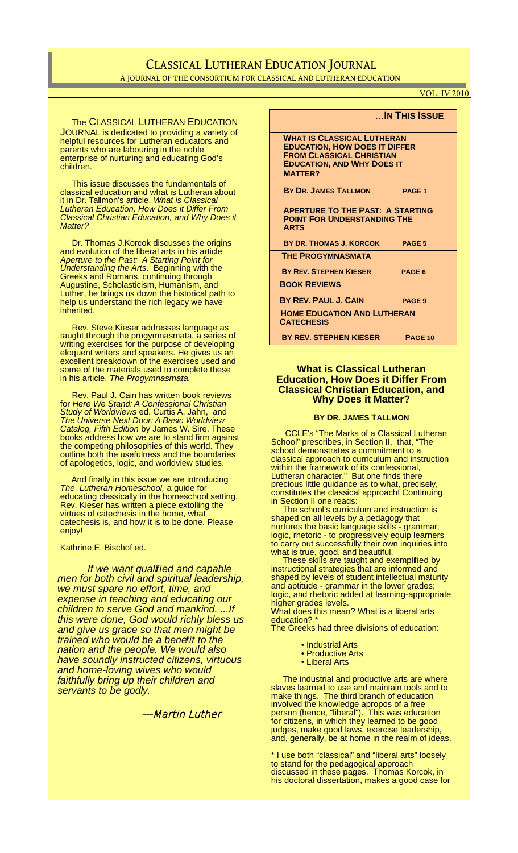# CLASSICAL LUTHERAN EDUCATION JOURNAL A JOURNAL OF THE CONSORTIUM FOR CLASSICAL AND LUTHERAN EDUCATION

VOL. IV 2010

...**IN THIS ISSUE**

 The CLASSICAL LUTHERAN EDUCATION JOURNAL is dedicated to providing a variety of helpful resources for Lutheran educators and parents who are labouring in the noble enterprise of nurturing and educating God's children.

 This issue discusses the fundamentals of classical education and what is Lutheran about it in Dr. Tallmon's article, What is Classical Lutheran Education, How Does it Differ From Classical Christian Education, and Why Does it Matter?

 Dr. Thomas J.Korcok discusses the origins and evolution of the liberal arts in his article Aperture to the Past: A Starting Point for Understanding the Arts. Beginning with the Greeks and Romans, continuing through Augustine, Scholasticism, Humanism, and Luther, he brings us down the historical path to help us understand the rich legacy we have inherited.

 Rev. Steve Kieser addresses language as taught through the progymnasmata, a series of writing exercises for the purpose of developing eloquent writers and speakers. He gives us an excellent breakdown of the exercises used and some of the materials used to complete these in his article, The Progymnasmata.

 Rev. Paul J. Cain has written book reviews for Here We Stand: A Confessional Christian Study of Worldviews ed. Curtis A. Jahn, and The Universe Next Door: A Basic Worldview Catalog, Fifth Edition by James W. Sire. These books address how we are to stand firm against the competing philosophies of this world. They outline both the usefulness and the boundaries of apologetics, logic, and worldview studies.

 And finally in this issue we are introducing The Lutheran Homeschool, a guide for educating classically in the homeschool setting. Rev. Kieser has written a piece extolling the virtues of catechesis in the home, what catechesis is, and how it is to be done. Please enjoy!

Kathrine E. Bischof ed.

If we want qualfied and capable men for both civil and spiritual leadership, we must spare no effort, time, and expense in teaching and educating our children to serve God and mankind. ...If this were done, God would richly bless us and give us grace so that men might be trained who would be a benefit to the nation and the people. We would also have soundly instructed citizens, virtuous and home-loving wives who would faithfully bring up their children and servants to be godly.

# ---Martin Luther

| <b>WHAT IS CLASSICAL LUTHERAN</b>    |
|--------------------------------------|
| <b>EDUCATION, HOW DOES IT DIFFER</b> |
| <b>FROM CLASSICAL CHRISTIAN</b>      |
| <b>EDUCATION, AND WHY DOES IT</b>    |
| <b>MATTER?</b>                       |
|                                      |

**BY DR. JAMES TALLMON PAGE 1** 

**APERTURE TO THE PAST: A STARTING POINT FOR UNDERSTANDING THE ARTS** 

**BY DR. THOMAS J. KORCOK PAGE 5**

**THE PROGYMNASMATA**

**BY REV. STEPHEN KIESER PAGE 6**

 **BOOK REVIEWS**

 **BY REV. PAUL J. CAIN PAGE 9 HOME EDUCATION AND LUTHERAN CATECHESIS** 

 **BY REV. STEPHEN KIESER PAGE 10**

## **What is Classical Lutheran Education, How Does it Differ From Classical Christian Education, and Why Does it Matter?**

## **BY DR. JAMES TALLMON**

 CCLE's "The Marks of a Classical Lutheran School" prescribes, in Section II, that, "The school demonstrates a commitment to a classical approach to curriculum and instruction within the framework of its confessional, Lutheran character." But one finds there precious little guidance as to what, precisely, constitutes the classical approach! Continuing in Section II one reads:

 The school's curriculum and instruction is shaped on all levels by a pedagogy that nurtures the basic language skills - grammar, logic, rhetoric - to progressively equip learners to carry out successfully their own inquiries into what is true, good, and beautiful.

 These skills are taught and exemplified by instructional strategies that are informed and shaped by levels of student intellectual maturity and aptitude - grammar in the lower grades; logic, and rhetoric added at learning-appropriate higher grades levels. What does this mean? What is a liberal arts

education? The Greeks had three divisions of education:

- - Industrial Arts • Productive Arts
	- Liberal Arts

 The industrial and productive arts are where slaves learned to use and maintain tools and to make things. The third branch of education involved the knowledge apropos of a free person (hence, "liberal"). This was education for citizens, in which they learned to be good judges, make good laws, exercise leadership, and, generally, be at home in the realm of ideas.

\* I use both "classical" and "liberal arts" loosely to stand for the pedagogical approach discussed in these pages. Thomas Korcok, in his doctoral dissertation, makes a good case for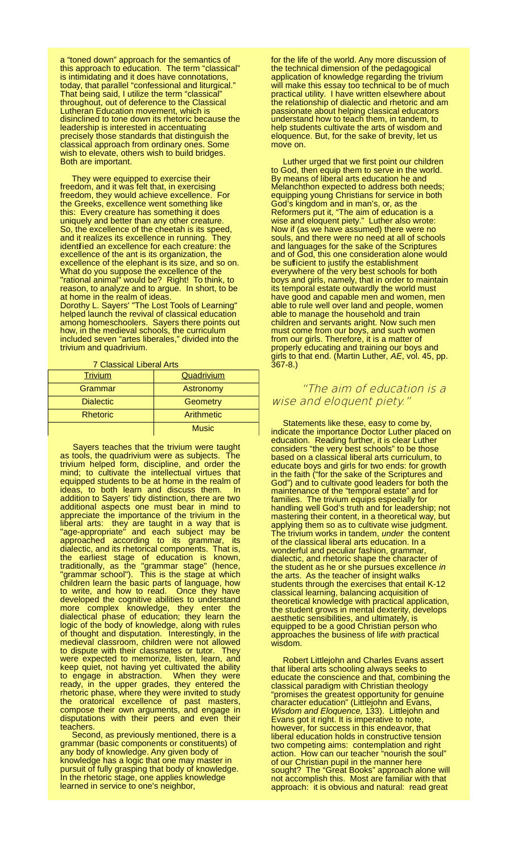a "toned down" approach for the semantics of this approach to education. The term "classical" is intimidating and it does have connotations, today, that parallel "confessional and liturgical." That being said, I utilize the term "classical" throughout, out of deference to the Classical Lutheran Education movement, which is disinclined to tone down its rhetoric because the leadership is interested in accentuating precisely those standards that distinguish the classical approach from ordinary ones. Some wish to elevate, others wish to build bridges. Both are important.

 They were equipped to exercise their freedom, and it was felt that, in exercising freedom, they would achieve excellence. For the Greeks, excellence went something like this: Every creature has something it does uniquely and better than any other creature So, the excellence of the cheetah is its speed,<br>and it realizes its excellence in running. They and it realizes its excellence in running. identified an excellence for each creature: the excellence of the ant is its organization, the excellence of the elephant is its size, and so on. What do you suppose the excellence of the "rational animal" would be? Right! To think, to reason, to analyze and to argue. In short, to be at home in the realm of ideas. Dorothy L. Sayers' "The Lost Tools of Learning" helped launch the revival of classical education among homeschoolers. Sayers there points out

how, in the medieval schools, the curriculum included seven "artes liberales," divided into the trivium and quadrivium.

7 Classical Liberal Arts

| 7 OKSSICAI LIDOLALAIS |                 |
|-----------------------|-----------------|
| <b>Trivium</b>        | Quadrivium      |
| Grammar               | Astronomy       |
| <b>Dialectic</b>      | <b>Geometry</b> |
| <b>Rhetoric</b>       | Arithmetic      |
|                       | <b>Music</b>    |

 Sayers teaches that the trivium were taught as tools, the quadrivium were as subjects. The trivium helped form, discipline, and order the mind; to cultivate the intellectual virtues that equipped students to be at home in the realm of ideas, to both learn and discuss them. In addition to Sayers' tidy distinction, there are two additional aspects one must bear in mind to appreciate the importance of the trivium in the liberal arts: they are taught in a way that is "age-appropriate" and each subject may be approached according to its grammar, its dialectic, and its rhetorical components. That is, the earliest stage of education is known, traditionally, as the "grammar stage" (hence, "grammar school"). This is the stage at which children learn the basic parts of language, how to write, and how to read. Once they have developed the cognitive abilities to understand more complex knowledge, they enter the dialectical phase of education; they learn the logic of the body of knowledge, along with rules of thought and disputation. Interestingly, in the medieval classroom, children were not allowed to dispute with their classmates or tutor. They were expected to memorize, listen, learn, and keep quiet, not having yet cultivated the ability to engage in abstraction. When they were ready, in the upper grades, they entered the rhetoric phase, where they were invited to study the oratorical excellence of past masters, compose their own arguments, and engage in disputations with their peers and even their teachers.

Second, as previously mentioned, there is a grammar (basic components or constituents) of any body of knowledge. Any given body of knowledge has a logic that one may master in pursuit of fully grasping that body of knowledge. In the rhetoric stage, one applies knowledge learned in service to one's neighbor,

for the life of the world. Any more discussion of the technical dimension of the pedagogical application of knowledge regarding the trivium will make this essay too technical to be of much practical utility. I have written elsewhere about the relationship of dialectic and rhetoric and am passionate about helping classical educators understand how to teach them, in tandem, to help students cultivate the arts of wisdom and eloquence. But, for the sake of brevity, let us move on.

 Luther urged that we first point our children to God, then equip them to serve in the world. By means of liberal arts education he and Melanchthon expected to address both needs; equipping young Christians for service in both God's kingdom and in man's, or, as the Reformers put it, "The aim of education is a wise and eloquent piety." Luther also wrote: Now if (as we have assumed) there were no souls, and there were no need at all of schools and languages for the sake of the Scriptures and of God, this one consideration alone would be sufficient to justify the establishment everywhere of the very best schools for both boys and girls, namely, that in order to maintain its temporal estate outwardly the world must have good and capable men and women, men able to rule well over land and people, women able to manage the household and train children and servants aright. Now such men must come from our boys, and such women from our girls. Therefore, it is a matter of properly educating and training our boys and girls to that end. (Martin Luther, AE, vol. 45, pp. 367-8.)

# "The aim of education is a wise and eloquent piety."

 Statements like these, easy to come by, indicate the importance Doctor Luther placed on education. Reading further, it is clear Luther considers "the very best schools" to be those based on a classical liberal arts curriculum, to educate boys and girls for two ends: for growth in the faith ("for the sake of the Scriptures and God") and to cultivate good leaders for both the maintenance of the "temporal estate" and for families. The trivium equips especially for handling well God's truth and for leadership; not mastering their content, in a theoretical way, but applying them so as to cultivate wise judgment. The trivium works in tandem, *under* the content of the classical liberal arts education. In a wonderful and peculiar fashion, grammar, dialectic, and rhetoric shape the character of the student as he or she pursues excellence in the arts. As the teacher of insight walks students through the exercises that entail K-12 classical learning, balancing acquisition of theoretical knowledge with practical application, the student grows in mental dexterity, develops aesthetic sensibilities, and ultimately, is equipped to be a good Christian person who approaches the business of life with practical wisdom.

 Robert Littlejohn and Charles Evans assert that liberal arts schooling always seeks to educate the conscience and that, combining the classical paradigm with Christian theology "promises the greatest opportunity for genuine character education" (Littlejohn and Evans, Wisdom and Eloquence, 133). Littlejohn and Evans got it right. It is imperative to note, however, for success in this endeavor, that liberal education holds in constructive tension two competing aims: contemplation and right action. How can our teacher "nourish the soul" of our Christian pupil in the manner here sought? The "Great Books" approach alone will not accomplish this. Most are familiar with that approach: it is obvious and natural: read great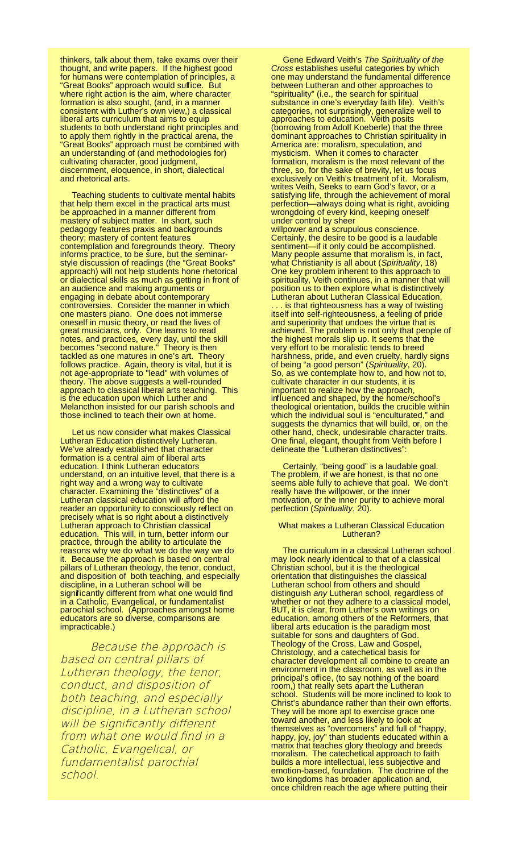thinkers, talk about them, take exams over their thought, and write papers. If the highest good for humans were contemplation of principles, a "Great Books" approach would suffice. But where right action is the aim, where character formation is also sought, (and, in a manner consistent with Luther's own view,) a classical liberal arts curriculum that aims to equip students to both understand right principles and to apply them rightly in the practical arena, the "Great Books" approach must be combined with an understanding of (and methodologies for) cultivating character, good judgment, discernment, eloquence, in short, dialectical and rhetorical arts.

 Teaching students to cultivate mental habits that help them excel in the practical arts must be approached in a manner different from mastery of subject matter. In short, such pedagogy features praxis and backgrounds theory; mastery of content features contemplation and foregrounds theory. Theory informs practice, to be sure, but the seminarstyle discussion of readings (the "Great Books" approach) will not help students hone rhetorical or dialectical skills as much as getting in front of an audience and making arguments or engaging in debate about contemporary controversies. Consider the manner in which one masters piano. One does not immerse oneself in music theory, or read the lives of great musicians, only. One learns to read notes, and practices, every day, until the skill becomes "second nature." Theory is then tackled as one matures in one's art. Theory follows practice. Again, theory is vital, but it is not age-appropriate to "lead" with volumes of theory. The above suggests a well-rounded approach to classical liberal arts teaching. This is the education upon which Luther and Melancthon insisted for our parish schools and those inclined to teach their own at home.

 Let us now consider what makes Classical Lutheran Education distinctively Lutheran. We've already established that character formation is a central aim of liberal arts education. I think Lutheran educators understand, on an intuitive level, that there is a right way and a wrong way to cultivate character. Examining the "distinctives" of a Lutheran classical education will afford the reader an opportunity to consciously reflect on precisely what is so right about a distinctively Lutheran approach to Christian classical education. This will, in turn, better inform our practice, through the ability to articulate the reasons why we do what we do the way we do it. Because the approach is based on central pillars of Lutheran theology, the tenor, conduct, and disposition of both teaching, and especially discipline, in a Lutheran school will be significantly different from what one would find in a Catholic, Evangelical, or fundamentalist parochial school. (Approaches amongst home educators are so diverse, comparisons are impracticable.)

Because the approach is based on central pillars of Lutheran theology, the tenor, conduct, and disposition of both teaching, and especially discipline, in a Lutheran school will be significantly different from what one would find in a Catholic, Evangelical, or fundamentalist parochial school.

 Gene Edward Veith's The Spirituality of the Cross establishes useful categories by which one may understand the fundamental difference between Lutheran and other approaches to "spirituality" (i.e., the search for spiritual substance in one's everyday faith life). Veith's categories, not surprisingly, generalize well to approaches to education. Veith posits (borrowing from Adolf Koeberle) that the three dominant approaches to Christian spirituality in America are: moralism, speculation, and mysticism. When it comes to character formation, moralism is the most relevant of the three, so, for the sake of brevity, let us focus exclusively on Veith's treatment of it. Moralism, writes Veith, Seeks to earn God's favor, or a satisfying life, through the achievement of moral perfection—always doing what is right, avoiding wrongdoing of every kind, keeping oneself under control by sheer

willpower and a scrupulous conscience. Certainly, the desire to be good is a laudable sentiment—if it only could be accomplished. Many people assume that moralism is, in fact, what Christianity is all about (*Spirituality*, 18) One key problem inherent to this approach to spirituality, Veith continues, in a manner that will position us to then explore what is distinctively Lutheran about Lutheran Classical Education,

. . . is that righteousness has a way of twisting itself into self-righteousness, a feeling of pride and superiority that undoes the virtue that is achieved. The problem is not only that people of the highest morals slip up. It seems that the very effort to be moralistic tends to breed harshness, pride, and even cruelty, hardly signs of being "a good person" (Spirituality, 20). So, as we contemplate how to, and how not to, cultivate character in our students, it is important to realize how the approach, influenced and shaped, by the home/school's theological orientation, builds the crucible within which the individual soul is "enculturated," and suggests the dynamics that will build, or, on the other hand, check, undesirable character traits. One final, elegant, thought from Veith before I delineate the "Lutheran distinctives":

 Certainly, "being good" is a laudable goal. The problem, if we are honest, is that no one seems able fully to achieve that goal. We don't really have the willpower, or the inner motivation, or the inner purity to achieve moral perfection (Spirituality, 20).

#### What makes a Lutheran Classical Education **Lutheran?**

 The curriculum in a classical Lutheran school may look nearly identical to that of a classical Christian school, but it is the theological orientation that distinguishes the classical Lutheran school from others and should distinguish any Lutheran school, regardless of whether or not they adhere to a classical model, BUT, it is clear, from Luther's own writings on education, among others of the Reformers, that liberal arts education is the paradigm most suitable for sons and daughters of God. Theology of the Cross, Law and Gospel, Christology, and a catechetical basis for character development all combine to create an environment in the classroom, as well as in the principal's office, (to say nothing of the board room,) that really sets apart the Lutheran school. Students will be more inclined to look to Christ's abundance rather than their own efforts. They will be more apt to exercise grace one toward another, and less likely to look at themselves as "overcomers" and full of "happy, happy, joy, joy" than students educated within a matrix that teaches glory theology and breeds moralism. The catechetical approach to faith builds a more intellectual, less subjective and emotion-based, foundation. The doctrine of the two kingdoms has broader application and once children reach the age where putting their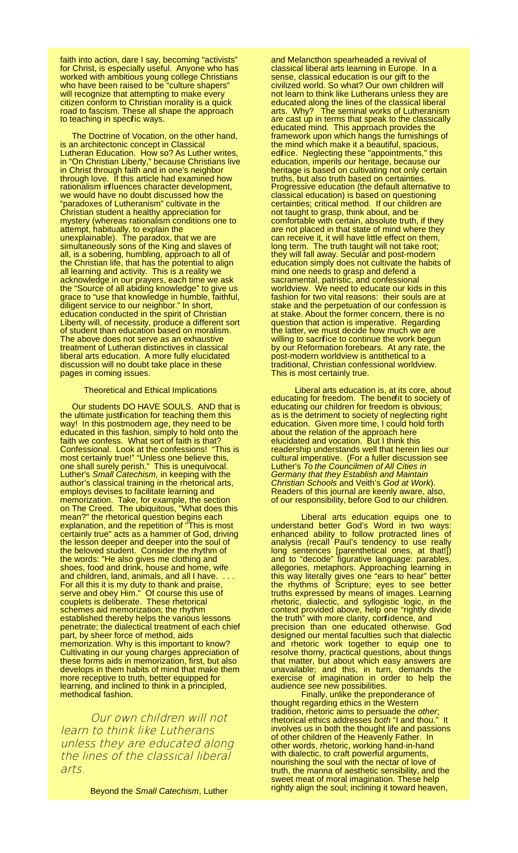faith into action, dare I say, becoming "activists" for Christ, is especially useful. Anyone who has worked with ambitious young college Christians who have been raised to be "culture shapers" will recognize that attempting to make every citizen conform to Christian morality is a quick road to fascism. These all shape the approach to teaching in specific ways.

 The Doctrine of Vocation, on the other hand, is an architectonic concept in Classical Lutheran Education. How so? As Luther writes, in "On Christian Liberty," because Christians live in Christ through faith and in one's neighbor through love. If this article had examined how rationalism influences character development, we would have no doubt discussed how the "paradoxes of Lutheranism" cultivate in the Christian student a healthy appreciation for mystery (whereas rationalism conditions one to attempt, habitually, to explain the unexplainable). The paradox, that we are simultaneously sons of the King and slaves of all, is a sobering, humbling, approach to all of the Christian life, that has the potential to align all learning and activity. This is a reality we acknowledge in our prayers, each time we ask the "Source of all abiding knowledge" to give us grace to "use that knowledge in humble, faithful, diligent service to our neighbor." In short, education conducted in the spirit of Christian Liberty will, of necessity, produce a different sort of student than education based on moralism. The above does not serve as an exhaustive treatment of Lutheran distinctives in classical liberal arts education. A more fully elucidated discussion will no doubt take place in these pages in coming issues.

#### Theoretical and Ethical Implications

 Our students DO HAVE SOULS. AND that is the ultimate justification for teaching them this way! In this postmodern age, they need to be educated in this fashion, simply to hold onto the faith we confess. What sort of faith is that? Confessional. Look at the confessions! "This is most certainly true!" "Unless one believe this, one shall surely perish." This is unequivocal. Luther's Small Catechism, in keeping with the author's classical training in the rhetorical arts, employs devises to facilitate learning and memorization. Take, for example, the section on The Creed. The ubiquitous, "What does this mean?" the rhetorical question begins each explanation, and the repetition of "This is most certainly true" acts as a hammer of God, driving the lesson deeper and deeper into the soul of the beloved student. Consider the rhythm of the words: "He also gives me clothing and shoes, food and drink, house and home, wife and children, land, animals, and all I have. For all this it is my duty to thank and praise, serve and obey Him." Of course this use of couplets is deliberate. These rhetorical schemes aid memorization; the rhythm established thereby helps the various lessons penetrate; the dialectical treatment of each chief part, by sheer force of method, aids memorization. Why is this important to know? Cultivating in our young charges appreciation of these forms aids in memorization, first, but also develops in them habits of mind that make them more receptive to truth, better equipped for learning, and inclined to think in a principled, methodical fashion.

Our own children will not learn to think like Lutherans unless they are educated along the lines of the classical liberal arts.

Beyond the Small Catechism, Luther

and Melancthon spearheaded a revival of classical liberal arts learning in Europe. In a sense, classical education is our gift to the civilized world. So what? Our own children will not learn to think like Lutherans unless they are educated along the lines of the classical liberal arts. Why? The seminal works of Lutheranism are cast up in terms that speak to the classically educated mind. This approach provides the framework upon which hangs the furnishings of the mind which make it a beautiful, spacious edifice. Neglecting these "appointments," this education, imperils our heritage, because our heritage is based on cultivating not only certain truths, but also truth based on certainties. Progressive education (the default alternative to classical education) is based on questioning certainties; critical method. If our children are not taught to grasp, think about, and be comfortable with certain, absolute truth, if they are not placed in that state of mind where they can receive it, it will have little effect on them, long term. The truth taught will not take root; they will fall away. Secular and post-modern education simply does not cultivate the habits of mind one needs to grasp and defend a sacramental, patristic, and confessional worldview. We need to educate our kids in this fashion for two vital reasons: their souls are at stake and the perpetuation of our confession is at stake. About the former concern, there is no question that action is imperative. Regarding the latter, we must decide how much we are willing to sacrifice to continue the work begun by our Reformation forebears. At any rate, the post-modern worldview is antithetical to a traditional, Christian confessional worldview. This is most certainly true.

Liberal arts education is, at its core, about educating for freedom. The benefit to society of educating our children for freedom is obvious; as is the detriment to society of neglecting right education. Given more time, I could hold forth about the relation of the approach here elucidated and vocation. But I think this readership understands well that herein lies our cultural imperative. (For a fuller discussion see Luther's To the Councilmen of All Cities in Germany that they Establish and Maintain Christian Schools and Veith's God at Work). Readers of this journal are keenly aware, also, of our responsibility, before God to our children.

Liberal arts education equips one to understand better God's Word in two ways: enhanced ability to follow protracted lines of analysis (recall Paul's tendency to use really long sentences [parenthetical ones, at that!]) and to "decode" figurative language: parables, allegories, metaphors. Approaching learning in this way literally gives one "ears to hear" better the rhythms of Scripture; eyes to see better truths expressed by means of images. Learning rhetoric, dialectic, and syllogistic logic, in the context provided above, help one "rightly divide the truth" with more clarity, confidence, and precision than one educated otherwise. God designed our mental faculties such that dialectic and rhetoric work together to equip one to resolve thorny, practical questions, about things that matter, but about which easy answers are unavailable; and this, in turn, demands the exercise of imagination in order to help the audience see new possibilities.

Finally, unlike the preponderance of thought regarding ethics in the Western tradition, rhetoric aims to persuade the other; rhetorical ethics addresses both "I and thou." It involves us in both the thought life and passions of other children of the Heavenly Father. In other words, rhetoric, working hand-in-hand with dialectic, to craft powerful arguments, nourishing the soul with the nectar of love of truth, the manna of aesthetic sensibility, and the sweet meat of moral imagination. These help rightly align the soul; inclining it toward heaven,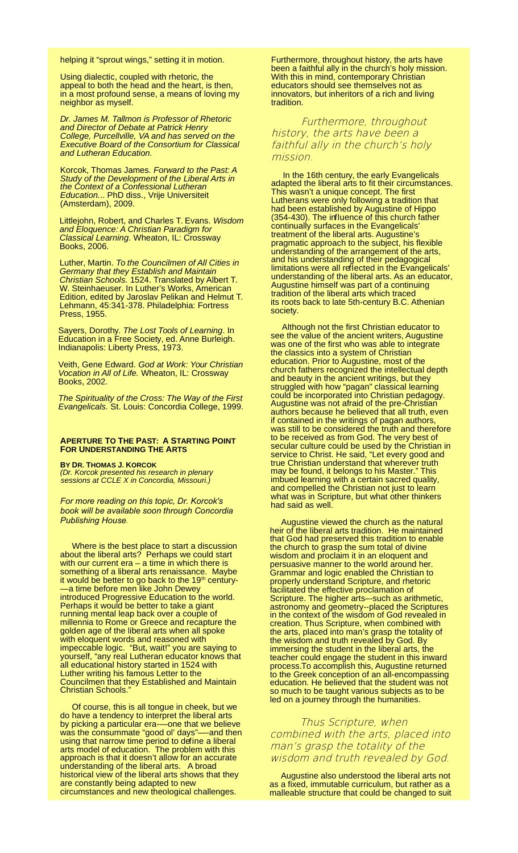helping it "sprout wings," setting it in motion.

Using dialectic, coupled with rhetoric, the appeal to both the head and the heart, is then, in a most profound sense, a means of loving my neighbor as myself.

Dr. James M. Tallmon is Professor of Rhetoric and Director of Debate at Patrick Henry College, Purcellville, VA and has served on the Executive Board of the Consortium for Classical and Lutheran Education.

Korcok, Thomas James. Forward to the Past: A Study of the Development of the Liberal Arts in the Context of a Confessional Lutheran Education... PhD diss., Vrije Universiteit (Amsterdam), 2009.

Littlejohn, Robert, and Charles T. Evans. Wisdom and Eloquence: A Christian Paradigm for Classical Learning. Wheaton, IL: Crossway Books, 2006.

Luther, Martin. To the Councilmen of All Cities in Germany that they Establish and Maintain Christian Schools. 1524. Translated by Albert T. W. Steinhaeuser. In Luther's Works, American Edition, edited by Jaroslav Pelikan and Helmut T. Lehmann, 45:341-378. Philadelphia: Fortress Press, 1955.

Sayers, Dorothy. The Lost Tools of Learning. In Education in a Free Society, ed. Anne Burleigh. Indianapolis: Liberty Press, 1973.

Veith, Gene Edward. God at Work: Your Christian Vocation in All of Life. Wheaton, IL: Crossway Books, 2002.

The Spirituality of the Cross: The Way of the First Evangelicals. St. Louis: Concordia College, 1999.

#### **APERTURE TO THE PAST: A STARTING POINT FOR UNDERSTANDING THE ARTS**

#### **BY DR. THOMAS J. KORCOK**

(Dr. Korcok presented his research in plenary sessions at CCLE X in Concordia, Missouri.)

*For more reading on this topic, Dr. Korcok's book will be available soon through Concordia Publishing House*.

 Where is the best place to start a discussion about the liberal arts? Perhaps we could start with our current era – a time in which there is something of a liberal arts renaissance. Maybe it would be better to go back to the 19<sup>th</sup> century-—a time before men like John Dewey introduced Progressive Education to the world. Perhaps it would be better to take a giant running mental leap back over a couple of millennia to Rome or Greece and recapture the golden age of the liberal arts when all spoke with eloquent words and reasoned with impeccable logic. "But, wait!" you are saying to yourself, "any real Lutheran educator knows that all educational history started in 1524 with Luther writing his famous Letter to the Councilmen that they Established and Maintain Christian Schools."

 Of course, this is all tongue in cheek, but we do have a tendency to interpret the liberal arts by picking a particular era-—one that we believe was the consummate "good ol' days"—-and then using that narrow time period to define a liberal arts model of education. The problem with this approach is that it doesn't allow for an accurate understanding of the liberal arts. A broad historical view of the liberal arts shows that they are constantly being adapted to new circumstances and new theological challenges.

Furthermore, throughout history, the arts have been a faithful ally in the church's holy mission. With this in mind, contemporary Christian educators should see themselves not as innovators, but inheritors of a rich and living tradition.

Furthermore, throughout history, the arts have been a faithful ally in the church's holy mission.

 In the 16th century, the early Evangelicals adapted the liberal arts to fit their circumstances. This wasn't a unique concept. The first Lutherans were only following a tradition that had been established by Augustine of Hippo (354-430). The influence of this church father continually surfaces in the Evangelicals' treatment of the liberal arts. Augustine's pragmatic approach to the subject, his flexible understanding of the arrangement of the arts, and his understanding of their pedagogical limitations were all reflected in the Evangelicals' understanding of the liberal arts. As an educator, Augustine himself was part of a continuing tradition of the liberal arts which traced its roots back to late 5th-century B.C. Athenian society.

 Although not the first Christian educator to see the value of the ancient writers, Augustine was one of the first who was able to integrate the classics into a system of Christian education. Prior to Augustine, most of the church fathers recognized the intellectual depth and beauty in the ancient writings, but they struggled with how "pagan" classical learning could be incorporated into Christian pedagogy. Augustine was not afraid of the pre-Christian authors because he believed that all truth, even if contained in the writings of pagan authors, was still to be considered the truth and therefore to be received as from God. The very best of secular culture could be used by the Christian in service to Christ. He said, "Let every good and true Christian understand that wherever truth may be found, it belongs to his Master." This imbued learning with a certain sacred quality, and compelled the Christian not just to learn what was in Scripture, but what other thinkers had said as well.

 Augustine viewed the church as the natural heir of the liberal arts tradition. He maintained that God had preserved this tradition to enable the church to grasp the sum total of divine wisdom and proclaim it in an eloquent and persuasive manner to the world around her. Grammar and logic enabled the Christian to properly understand Scripture, and rhetoric facilitated the effective proclamation of Scripture. The higher arts–-such as arithmetic, astronomy and geometry--placed the Scriptures in the context of the wisdom of God revealed in creation. Thus Scripture, when combined with the arts, placed into man's grasp the totality of the wisdom and truth revealed by God. By immersing the student in the liberal arts, the teacher could engage the student in this inward process.To accomplish this, Augustine returned to the Greek conception of an all-encompassing education. He believed that the student was not so much to be taught various subjects as to be led on a journey through the humanities.

# Thus Scripture, when combined with the arts, placed into man's grasp the totality of the wisdom and truth revealed by God.

 Augustine also understood the liberal arts not as a fixed, immutable curriculum, but rather as a malleable structure that could be changed to suit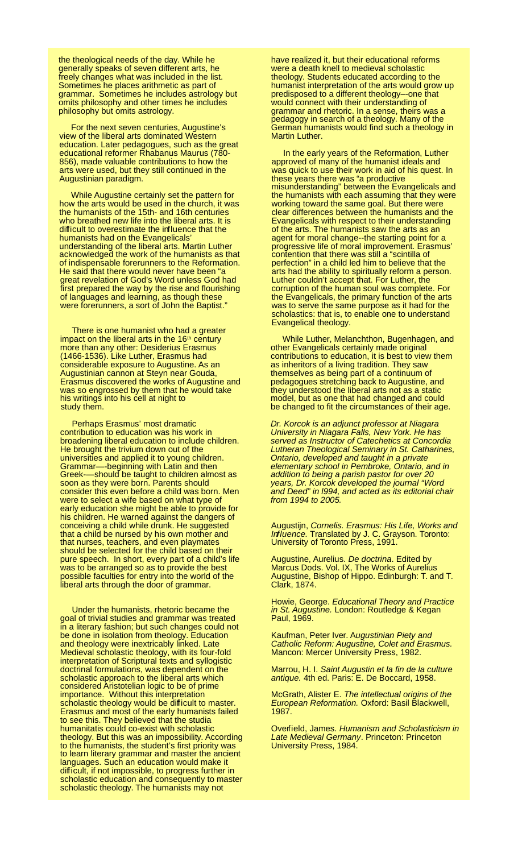the theological needs of the day. While he generally speaks of seven different arts, he freely changes what was included in the list. Sometimes he places arithmetic as part of grammar. Sometimes he includes astrology but omits philosophy and other times he includes philosophy but omits astrology.

 For the next seven centuries, Augustine's view of the liberal arts dominated Western education. Later pedagogues, such as the great educational reformer Rhabanus Maurus (780- 856), made valuable contributions to how the arts were used, but they still continued in the Augustinian paradigm.

 While Augustine certainly set the pattern for how the arts would be used in the church, it was the humanists of the 15th- and 16th centuries who breathed new life into the liberal arts. It is difficult to overestimate the influence that the humanists had on the Evangelicals' understanding of the liberal arts. Martin Luther acknowledged the work of the humanists as that of indispensable forerunners to the Reformation. He said that there would never have been "a great revelation of God's Word unless God had first prepared the way by the rise and flourishing of languages and learning, as though these were forerunners, a sort of John the Baptist."

 There is one humanist who had a greater impact on the liberal arts in the  $16<sup>th</sup>$  century more than any other: Desiderius Erasmus (1466-1536). Like Luther, Erasmus had considerable exposure to Augustine. As an Augustinian cannon at Steyn near Gouda, Erasmus discovered the works of Augustine and was so engrossed by them that he would take his writings into his cell at night to study them.

 Perhaps Erasmus' most dramatic contribution to education was his work in broadening liberal education to include children. He brought the trivium down out of the universities and applied it to young children. Grammar—-beginning with Latin and then Greek-—should be taught to children almost as soon as they were born. Parents should consider this even before a child was born. Men were to select a wife based on what type of early education she might be able to provide for his children. He warned against the dangers of conceiving a child while drunk. He suggested that a child be nursed by his own mother and that nurses, teachers, and even playmates should be selected for the child based on their pure speech. In short, every part of a child's life was to be arranged so as to provide the best possible faculties for entry into the world of the liberal arts through the door of grammar.

 Under the humanists, rhetoric became the goal of trivial studies and grammar was treated in a literary fashion; but such changes could not be done in isolation from theology. Education and theology were inextricably linked. Late Medieval scholastic theology, with its four-fold interpretation of Scriptural texts and syllogistic doctrinal formulations, was dependent on the scholastic approach to the liberal arts which considered Aristotelian logic to be of prime importance. Without this interpretation scholastic theology would be difficult to master. Erasmus and most of the early humanists failed to see this. They believed that the studia humanitatis could co-exist with scholastic theology. But this was an impossibility. According to the humanists, the student's first priority was to learn literary grammar and master the ancient languages. Such an education would make it difficult, if not impossible, to progress further in scholastic education and consequently to master scholastic theology. The humanists may not

have realized it, but their educational reforms were a death knell to medieval scholastic theology. Students educated according to the humanist interpretation of the arts would grow up predisposed to a different theology–-one that would connect with their understanding of grammar and rhetoric. In a sense, theirs was a pedagogy in search of a theology. Many of the German humanists would find such a theology in Martin Luther.

 In the early years of the Reformation, Luther approved of many of the humanist ideals and was quick to use their work in aid of his quest. In these years there was "a productive misunderstanding" between the Evangelicals and the humanists with each assuming that they were working toward the same goal. But there were clear differences between the humanists and the Evangelicals with respect to their understanding of the arts. The humanists saw the arts as an agent for moral change--the starting point for a progressive life of moral improvement. Erasmus' contention that there was still a "scintilla of perfection" in a child led him to believe that the arts had the ability to spiritually reform a person. Luther couldn't accept that. For Luther, the corruption of the human soul was complete. For the Evangelicals, the primary function of the arts was to serve the same purpose as it had for the scholastics: that is, to enable one to understand Evangelical theology.

 While Luther, Melanchthon, Bugenhagen, and other Evangelicals certainly made original contributions to education, it is best to view them as inheritors of a living tradition. They saw themselves as being part of a continuum of pedagogues stretching back to Augustine, and they understood the liberal arts not as a static model, but as one that had changed and could be changed to fit the circumstances of their age.

Dr. Korcok is an adjunct professor at Niagara University in Niagara Falls, New York. He has served as Instructor of Catechetics at Concordia Lutheran Theological Seminary in St. Catharines, Ontario, developed and taught in a private elementary school in Pembroke, Ontario, and in addition to being a parish pastor for over 20 years, Dr. Korcok developed the journal "Word and Deed" in l994, and acted as its editorial chair from 1994 to 2005.

Augustijn, Cornelis. Erasmus: His Life, Works and Influence. Translated by J. C. Grayson. Toronto: University of Toronto Press, 1991.

Augustine, Aurelius. De doctrina. Edited by Marcus Dods. Vol. IX, The Works of Aurelius Augustine, Bishop of Hippo. Edinburgh: T. and T. Clark, 1874.

Howie, George. Educational Theory and Practice in St. Augustine. London: Routledge & Kegan Paul, 1969.

Kaufman, Peter Iver. Augustinian Piety and Catholic Reform: Augustine, Colet and Erasmus. Mancon: Mercer University Press, 1982.

Marrou, H. I. Saint Augustin et la fin de la culture antique. 4th ed. Paris: E. De Boccard, 1958.

McGrath, Alister E. The intellectual origins of the European Reformation. Oxford: Basil Blackwell, 1987.

Overfield, James. Humanism and Scholasticism in Late Medieval Germany. Princeton: Princeton University Press, 1984.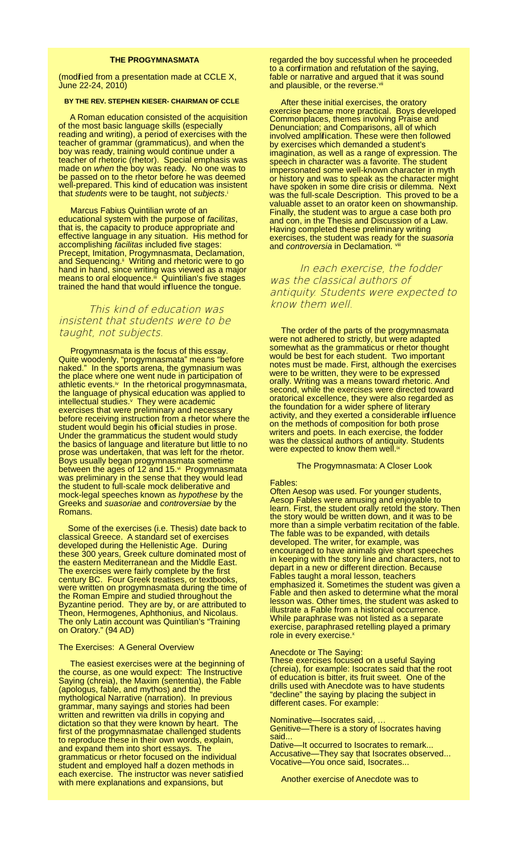## **THE PROGYMNASMATA**

(modified from a presentation made at CCLE X, June 22-24, 2010)

#### **BY THE REV. STEPHEN KIESER- CHAIRMAN OF CCLE**

 A Roman education consisted of the acquisition of the most basic language skills (especially reading and writing), a period of exercises with the teacher of grammar (grammaticus), and when the boy was ready, training would continue under a teacher of rhetoric (rhetor). Special emphasis was made on when the boy was ready. No one was to be passed on to the rhetor before he was deemed well-prepared. This kind of education was insistent that students were to be taught, not subjects.

 Marcus Fabius Quintilian wrote of an educational system with the purpose of facilitas, that is, the capacity to produce appropriate and effective language in any situation. His method for accomplishing facilitas included five stages: Precept, Imitation, Progymnasmata, Declamation, and Sequencing.<sup>[ii](file:///Users/jonbischof/Documents/)</sup> Writing and rhetoric were to go hand in hand, since writing was viewed as a major means to oral eloquence.[iii](file:///Users/jonbischof/Documents/) Quintilian's five stages trained the hand that would influence the tongue.

# This kind of education was insistent that students were to be taught, not subjects.

 Progymnasmata is the focus of this essay. Quite woodenly, "progymnasmata" means "before naked." In the sports arena, the gymnasium was the place where one went nude in participation of athletic events.<sup>[iv](file:///Users/jonbischof/Documents/)</sup> In the rhetorical progymnasmata, the language of physical education was applied to intellectual studies.<sup>[v](file:///Users/jonbischof/Documents/)</sup> They were academic exercises that were preliminary and necessary before receiving instruction from a rhetor where the student would begin his official studies in prose. Under the grammaticus the student would study the basics of language and literature but little to no prose was undertaken, that was left for the rhetor. Boys usually began progymnasmata sometime between the ages of 12 and 15.[vi](file:///Users/jonbischof/Documents/)l Progymnasmata was preliminary in the sense that they would lead the student to full-scale mock deliberative and mock-legal speeches known as hypothese by the Greeks and suasoriae and controversiae by the Romans.

 Some of the exercises (i.e. Thesis) date back to classical Greece. A standard set of exercises developed during the Hellenistic Age. During these 300 years, Greek culture dominated most of the eastern Mediterranean and the Middle East. The exercises were fairly complete by the first century BC. Four Greek treatises, or textbooks, were written on progymnasmata during the time of the Roman Empire and studied throughout the Byzantine period. They are by, or are attributed to Theon, Hermogenes, Aphthonius, and Nicolaus. The only Latin account was Quintilian's "Training on Oratory." (94 AD)

## The Exercises: A General Overview

 The easiest exercises were at the beginning of the course, as one would expect: The Instructive Saying (chreia), the Maxim (sententia), the Fable (apologus, fable, and mythos) and the mythological Narrative (narration). In previous grammar, many sayings and stories had been written and rewritten via drills in copying and dictation so that they were known by heart. The first of the progymnasmatae challenged students to reproduce these in their own words, explain, and expand them into short essays. The grammaticus or rhetor focused on the individual student and employed half a dozen methods in each exercise. The instructor was never satisfied with mere explanations and expansions, but

regarded the boy successful when he proceeded to a confirmation and refutation of the saying, fable or narrative and argued that it was sound and plausible, or the reverse.[vii](file:///Users/jonbischof/Documents/)

 After these initial exercises, the oratory exercise became more practical. Boys developed Commonplaces, themes involving Praise and Denunciation; and Comparisons, all of which involved amplification. These were then followed by exercises which demanded a student's imagination, as well as a range of expression. The speech in character was a favorite. The student impersonated some well-known character in myth or history and was to speak as the character might have spoken in some dire crisis or dilemma. Next was the full-scale Description. This proved to be a valuable asset to an orator keen on showmanship. Finally, the student was to argue a case both pro and con, in the Thesis and Discussion of a Law. Having completed these preliminary writing exercises, the student was ready for the suasoria and controversia in Declamation. [viii](file:///Users/jonbischof/Documents/)

In each exercise, the fodder was the classical authors of antiquity. Students were expected to know them well.

 The order of the parts of the progymnasmata were not adhered to strictly, but were adapted somewhat as the grammaticus or rhetor thought would be best for each student. Two important notes must be made. First, although the exercises were to be written, they were to be expressed orally. Writing was a means toward rhetoric. And second, while the exercises were directed toward oratorical excellence, they were also regarded as the foundation for a wider sphere of literary activity, and they exerted a considerable influence on the methods of composition for both prose writers and poets. In each exercise, the fodder was the classical authors of antiquity. Students were expected to know them well.<sup>[ix](file:///Users/jonbischof/Documents/)</sup>

#### The Progymnasmata: A Closer Look

#### Fables:

Often Aesop was used. For younger students, Aesop Fables were amusing and enjoyable to learn. First, the student orally retold the story. Then the story would be written down, and it was to be more than a simple verbatim recitation of the fable. The fable was to be expanded, with details developed. The writer, for example, was encouraged to have animals give short speeches in keeping with the story line and characters, not to depart in a new or different direction. Because Fables taught a moral lesson, teachers emphasized it. Sometimes the student was given a Fable and then asked to determine what the moral lesson was. Other times, the student was asked to illustrate a Fable from a historical occurrence. While paraphrase was not listed as a separate exercise, paraphrased retelling played a primary role in every e[x](file:///Users/jonbischof/Documents/)ercise.x

#### Anecdote or The Saying:

These exercises focused on a useful Saying (chreia), for example: Isocrates said that the root of education is bitter, its fruit sweet. One of the drills used with Anecdote was to have students "decline" the saying by placing the subject in different cases. For example:

Nominative—Isocrates said, … Genitive—There is a story of Isocrates having said...

Dative—It occurred to Isocrates to remark... Accusative—They say that Isocrates observed... Vocative—You once said, Isocrates...

Another exercise of Anecdote was to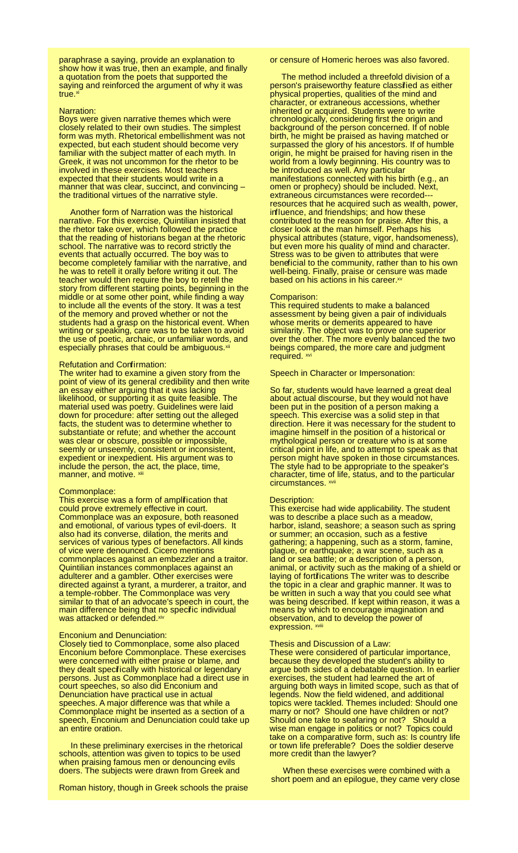paraphrase a saying, provide an explanation to show how it was true, then an example, and finally a quotation from the poets that supported the saying and reinforced the argument of why it was true.[xi](file:///Users/jonbischof/Documents/)

#### Narration:

Boys were given narrative themes which were closely related to their own studies. The simplest form was myth. Rhetorical embellishment was not expected, but each student should become very familiar with the subject matter of each myth. In Greek, it was not uncommon for the rhetor to be involved in these exercises. Most teachers expected that their students would write in a manner that was clear, succinct, and convincing the traditional virtues of the narrative style.

 Another form of Narration was the historical narrative. For this exercise, Quintilian insisted that the rhetor take over, which followed the practice that the reading of historians began at the rhetoric school. The narrative was to record strictly the events that actually occurred. The boy was to become completely familiar with the narrative, and he was to retell it orally before writing it out. The teacher would then require the boy to retell the story from different starting points, beginning in the middle or at some other point, while finding a way to include all the events of the story. It was a test of the memory and proved whether or not the students had a grasp on the historical event. When writing or speaking, care was to be taken to avoid the use of poetic, archaic, or unfamiliar words, and especially phrases that could be ambiguous.<sup>x</sup>

#### Refutation and Confirmation:

The writer had to examine a given story from the point of view of its general credibility and then write an essay either arguing that it was lacking likelihood, or supporting it as quite feasible. The material used was poetry. Guidelines were laid down for procedure: after setting out the alleged facts, the student was to determine whether to substantiate or refute; and whether the account was clear or obscure, possible or impossible, seemly or unseemly, consistent or inconsistent, expedient or inexpedient. His argument was to include the person, the act, the place, time, manner, and motive. [xiii](file:///Users/jonbischof/Documents/)

#### Commonplace:

This exercise was a form of amplification that could prove extremely effective in court. Commonplace was an exposure, both reasoned and emotional, of various types of evil-doers. It also had its converse, dilation, the merits and services of various types of benefactors. All kinds of vice were denounced. Cicero mentions commonplaces against an embezzler and a traitor. Quintilian instances commonplaces against an adulterer and a gambler. Other exercises were directed against a tyrant, a murderer, a traitor, and a temple-robber. The Commonplace was very similar to that of an advocate's speech in court, the main difference being that no specific individual was attacked or defended.<sup>[xiv](file:///Users/jonbischof/Documents/)</sup>

## Enconium and Denunciation:

Closely tied to Commonplace, some also placed Enconium before Commonplace. These exercises were concerned with either praise or blame, and they dealt specifically with historical or legendary persons. Just as Commonplace had a direct use in court speeches, so also did Enconium and Denunciation have practical use in actual speeches. A major difference was that while a Commonplace might be inserted as a section of a speech, Enconium and Denunciation could take up an entire oration.

 In these preliminary exercises in the rhetorical schools, attention was given to topics to be used when praising famous men or denouncing evils doers. The subjects were drawn from Greek and

Roman history, though in Greek schools the praise

#### or censure of Homeric heroes was also favored.

 The method included a threefold division of a person's praiseworthy feature classified as either physical properties, qualities of the mind and character, or extraneous accessions, whether inherited or acquired. Students were to write chronologically, considering first the origin and background of the person concerned. If of noble birth, he might be praised as having matched or surpassed the glory of his ancestors. If of humble origin, he might be praised for having risen in the world from a lowly beginning. His country was to be introduced as well. Any particular manifestations connected with his birth (e.g., an omen or prophecy) should be included. Next, extraneous circumstances were recorded-- resources that he acquired such as wealth, power, influence, and friendships; and how these contributed to the reason for praise. After this, a closer look at the man himself. Perhaps his physical attributes (stature, vigor, handsomeness), but even more his quality of mind and character. Stress was to be given to attributes that were beneficial to the community, rather than to his own well-being. Finally, praise or censure was made based on his actions in his career.[xv](file:///Users/jonbischof/Documents/)

#### Comparison:

This required students to make a balanced assessment by being given a pair of individuals whose merits or demerits appeared to have similarity. The object was to prove one superior over the other. The more evenly balanced the two beings compared, the more care and judgment required. [xvi](file:///Users/jonbischof/Documents/)

Speech in Character or Impersonation:

So far, students would have learned a great deal about actual discourse, but they would not have been put in the position of a person making a speech. This exercise was a solid step in that direction. Here it was necessary for the student to imagine himself in the position of a historical or mythological person or creature who is at some critical point in life, and to attempt to speak as that person might have spoken in those circumstances. The style had to be appropriate to the speaker's character, time of life, status, and to the particular circumstances. [xvii](file:///Users/jonbischof/Documents/)

#### Description:

This exercise had wide applicability. The student was to describe a place such as a meadow, harbor, island, seashore; a season such as spring or summer; an occasion, such as a festive gathering; a happening, such as a storm, famine, plague, or earthquake; a war scene, such as a land or sea battle; or a description of a person, animal, or activity such as the making of a shield or laying of fortifications The writer was to describe the topic in a clear and graphic manner. It was to be written in such a way that you could see what was being described. If kept within reason, it was a means by which to encourage imagination and observation, and to develop the power of expression. xvii

#### Thesis and Discussion of a Law:

These were considered of particular importance, because they developed the student's ability to argue both sides of a debatable question. In earlier exercises, the student had learned the art of arguing both ways in limited scope, such as that of legends. Now the field widened, and additional topics were tackled. Themes included: Should one marry or not? Should one have children or not? Should one take to seafaring or not? Should a wise man engage in politics or not? Topics could take on a comparative form, such as: Is country life or town life preferable? Does the soldier deserve more credit than the lawyer?

 When these exercises were combined with a short poem and an epilogue, they came very close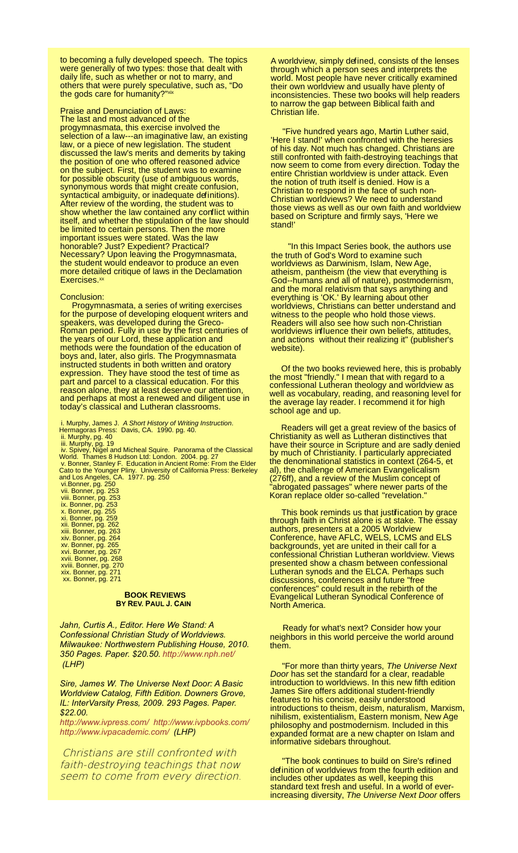to becoming a fully developed speech. The topics were generally of two types: those that dealt with daily life, such as whether or not to marry, and others that were purely speculative, such as, "Do the gods care for humanity?"[xix](file:///Users/jonbischof/Documents/)

Praise and Denunciation of Laws: The last and most advanced of the progymnasmata, this exercise involved the selection of a law---an imaginative law, an existing law, or a piece of new legislation. The student discussed the law's merits and demerits by taking the position of one who offered reasoned advice on the subject. First, the student was to examine for possible obscurity (use of ambiguous words, synonymous words that might create confusion, syntactical ambiguity, or inadequate definitions). After review of the wording, the student was to show whether the law contained any conflict within itself, and whether the stipulation of the law should be limited to certain persons. Then the more important issues were stated. Was the law honorable? Just? Expedient? Practical? Necessary? Upon leaving the Progymnasmata, the student would endeavor to produce an even more detailed critique of laws in the Declamation Exercises.<sup>[xx](file:///Users/jonbischof/Documents/)</sup>

## Conclusion:

 Progymnasmata, a series of writing exercises for the purpose of developing eloquent writers and speakers, was developed during the Greco-Roman period. Fully in use by the first centuries of the years of our Lord, these application and methods were the foundation of the education of boys and, later, also girls. The Progymnasmata instructed students in both written and oratory expression. They have stood the test of time as part and parcel to a classical education. For this reason alone, they at least deserve our attention, and perhaps at most a renewed and diligent use in today's classical and Lutheran classrooms.

i. Murphy, James J. A Short History of Writing Instruction. Hermagoras Press: Davis, CA. 1990. pg. 40. ii. Murphy, pg. 40

iii. Murphy, pg. 19

 iv. Spivey, Nigel and Micheal Squire. Panorama of the Classical World. Thames 8 Hudson Ltd: London. 2004. pg. 27 v. Bonner, Stanley F. Education in Ancient Rome: From the Elder Cato to the Younger Pliny. University of California Press: Berkeley and Los Angeles, CA. 1977. pg. 250

 vi.Bonner, pg. 250 vii. Bonner, pg. 253 viii. Bonner, pg. 253 ix. Bonner, pg. 253 x. Bonner, pg. 255 xi. Bonner, pg. 259 xii. Bonner, pg. 262 xiii. Bonner, pg. 263 xiv. Bonner, pg. 264 xv. Bonner, pg. 265 xvi. Bonner, pg. 267 xvii. Bonner, pg. 268 xviii. Bonner, pg. 270 xix. Bonner, pg. 271 xx. Bonner, pg. 271

#### **BOOK REVIEWS BY REV. PAUL J. CAIN**

*Jahn, Curtis A., Editor. Here We Stand: A Confessional Christian Study of Worldviews. Milwaukee: Northwestern Publishing House, 2010. 350 Pages. Paper. \$20.50.<http://www.nph.net/> (LHP)* 

*Sire, James W. The Universe Next Door: A Basic Worldview Catalog, Fifth Edition. Downers Grove, IL: InterVarsity Press, 2009. 293 Pages. Paper. \$22.00.*

*<http://www.ivpress.com/> <http://www.ivpbooks.com/> <http://www.ivpacademic.com/> (LHP)* 

Christians are still confronted with faith-destroying teachings that now seem to come from every direction. A worldview, simply defined, consists of the lenses through which a person sees and interprets the world. Most people have never critically examined their own worldview and usually have plenty of inconsistencies. These two books will help readers to narrow the gap between Biblical faith and Christian life.

"Five hundred years ago, Martin Luther said, 'Here I stand!' when confronted with the heresies of his day. Not much has changed. Christians are still confronted with faith-destroying teachings that now seem to come from every direction. Today the entire Christian worldview is under attack. Even the notion of truth itself is denied. How is a Christian to respond in the face of such non-Christian worldviews? We need to understand those views as well as our own faith and worldview based on Scripture and firmly says, 'Here we stand!'

 "In this Impact Series book, the authors use the truth of God's Word to examine such worldviews as Darwinism, Islam, New Age, atheism, pantheism (the view that everything is God--humans and all of nature), postmodernism, and the moral relativism that says anything and everything is 'OK.' By learning about other worldviews, Christians can better understand and witness to the people who hold those views. Readers will also see how such non-Christian worldviews influence their own beliefs, attitudes, and actions without their realizing it" (publisher's website).

 Of the two books reviewed here, this is probably the most "friendly." I mean that with regard to a confessional Lutheran theology and worldview as well as vocabulary, reading, and reasoning level for the average lay reader. I recommend it for high school age and up.

 Readers will get a great review of the basics of Christianity as well as Lutheran distinctives that have their source in Scripture and are sadly denied by much of Christianity. I particularly appreciated the denominational statistics in context (264-5, et al), the challenge of American Evangelicalism (276ff), and a review of the Muslim concept of "abrogated passages" where newer parts of the Koran replace older so-called "revelation."

This book reminds us that justification by grace through faith in Christ alone is at stake. The essay authors, presenters at a 2005 Worldview Conference, have AFLC, WELS, LCMS and ELS backgrounds, yet are united in their call for a confessional Christian Lutheran worldview. Views presented show a chasm between confessional Lutheran synods and the ELCA. Perhaps such discussions, conferences and future "free conferences" could result in the rebirth of the Evangelical Lutheran Synodical Conference of North America.

 Ready for what's next? Consider how your neighbors in this world perceive the world around them.

**"For more than thirty years, The Universe Next** Door has set the standard for a clear, readable introduction to worldviews. In this new fifth edition James Sire offers additional student-friendly features to his concise, easily understood introductions to theism, deism, naturalism, Marxism, nihilism, existentialism, Eastern monism, New Age philosophy and postmodernism. Included in this expanded format are a new chapter on Islam and informative sidebars throughout.

 "The book continues to build on Sire's refined definition of worldviews from the fourth edition and includes other updates as well, keeping this standard text fresh and useful. In a world of everincreasing diversity, The Universe Next Door offers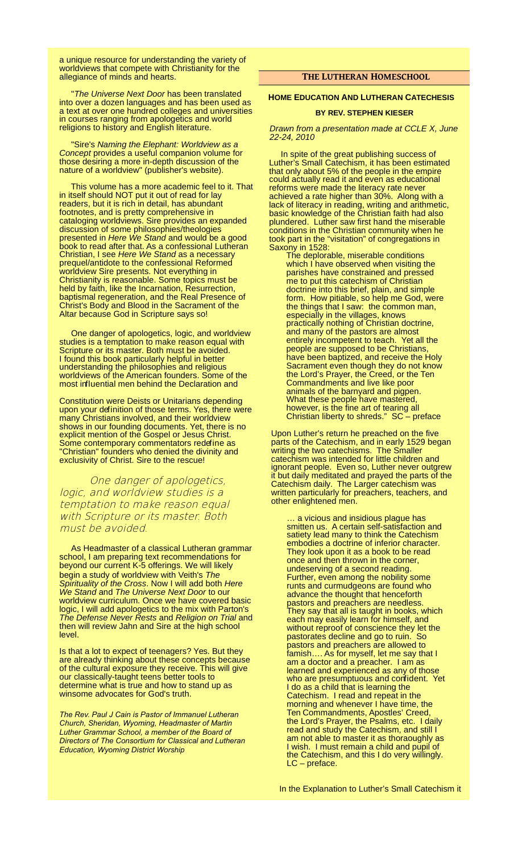a unique resource for understanding the variety of worldviews that compete with Christianity for the allegiance of minds and hearts.

"The Universe Next Door has been translated into over a dozen languages and has been used as a text at over one hundred colleges and universities in courses ranging from apologetics and world religions to history and English literature.

**Sire's Naming the Elephant: Worldview as a** Concept provides a useful companion volume for those desiring a more in-depth discussion of the nature of a worldview" (publisher's website).

 This volume has a more academic feel to it. That in itself should NOT put it out of read for lay readers, but it is rich in detail, has abundant footnotes, and is pretty comprehensive in cataloging worldviews. Sire provides an expanded discussion of some philosophies/theologies presented in *Here We Stand* and would be a good book to read after that. As a confessional Lutheran Christian, I see Here We Stand as a necessary prequel/antidote to the confessional Reformed worldview Sire presents. Not everything in Christianity is reasonable. Some topics must be held by faith, like the Incarnation, Resurrection, baptismal regeneration, and the Real Presence of Christ's Body and Blood in the Sacrament of the Altar because God in Scripture says so!

 One danger of apologetics, logic, and worldview studies is a temptation to make reason equal with Scripture or its master. Both must be avoided. I found this book particularly helpful in better understanding the philosophies and religious worldviews of the American founders. Some of the most influential men behind the Declaration and

Constitution were Deists or Unitarians depending upon your definition of those terms. Yes, there were many Christians involved, and their worldview shows in our founding documents. Yet, there is no explicit mention of the Gospel or Jesus Christ. Some contemporary commentators redefine as "Christian" founders who denied the divinity and exclusivity of Christ. Sire to the rescue!

One danger of apologetics, logic, and worldview studies is a temptation to make reason equal with Scripture or its master. Both must be avoided.

 As Headmaster of a classical Lutheran grammar school, I am preparing text recommendations for beyond our current K-5 offerings. We will likely begin a study of worldview with Veith's *The* Spirituality of the Cross. Now I will add both Here We Stand and The Universe Next Door to our worldview curriculum. Once we have covered basic logic, I will add apologetics to the mix with Parton's The Defense Never Rests and Religion on Trial and then will review Jahn and Sire at the high school level.

Is that a lot to expect of teenagers? Yes. But they are already thinking about these concepts because of the cultural exposure they receive. This will give our classically-taught teens better tools to determine what is true and how to stand up as winsome advocates for God's truth.

*The Rev. Paul J Cain is Pastor of Immanuel Lutheran Church, Sheridan, Wyoming, Headmaster of Martin Luther Grammar School, a member of the Board of Directors of The Consortium for Classical and Lutheran Education, Wyoming District Worship* 

# **THE LUTHERAN HOMESCHOOL**

## **HOME EDUCATION AND LUTHERAN CATECHESIS**

## **BY REV. STEPHEN KIESER**

## Drawn from a presentation made at CCLE X, June 22-24, 2010

 In spite of the great publishing success of Luther's Small Catechism, it has been estimated that only about 5% of the people in the empire could actually read it and even as educational reforms were made the literacy rate never achieved a rate higher than 30%. Along with a lack of literacy in reading, writing and arithmetic, basic knowledge of the Christian faith had also plundered. Luther saw first hand the miserable conditions in the Christian community when he took part in the "visitation" of congregations in Saxony in 1528:

The deplorable, miserable conditions which I have observed when visiting the parishes have constrained and pressed me to put this catechism of Christian doctrine into this brief, plain, and simple form. How pitiable, so help me God, were the things that I saw: the common man, especially in the villages, knows practically nothing of Christian doctrine, and many of the pastors are almost entirely incompetent to teach. Yet all the people are supposed to be Christians, have been baptized, and receive the Holy Sacrament even though they do not know the Lord's Prayer, the Creed, or the Ten Commandments and live like poor animals of the barnyard and pigpen. What these people have mastered, however, is the fine art of tearing all Christian liberty to shreds." SC – preface

Upon Luther's return he preached on the five parts of the Catechism, and in early 1529 began writing the two catechisms. The Smaller catechism was intended for little children and ignorant people. Even so, Luther never outgrew it but daily meditated and prayed the parts of the Catechism daily. The Larger catechism was written particularly for preachers, teachers, and other enlightened men.

… a vicious and insidious plague has smitten us. A certain self-satisfaction and satiety lead many to think the Catechism embodies a doctrine of inferior character. They look upon it as a book to be read once and then thrown in the corner, undeserving of a second reading. Further, even among the nobility some runts and curmudgeons are found who advance the thought that henceforth pastors and preachers are needless. They say that all is taught in books, which each may easily learn for himself, and without reproof of conscience they let the pastorates decline and go to ruin. So pastors and preachers are allowed to famish…. As for myself, let me say that I am a doctor and a preacher. I am as learned and experienced as any of those who are presumptuous and confident. Yet I do as a child that is learning the Catechism. I read and repeat in the morning and whenever I have time, the Ten Commandments, Apostles' Creed, the Lord's Prayer, the Psalms, etc. I daily read and study the Catechism, and still I am not able to master it as thoraoughly as I wish. I must remain a child and pupil of the Catechism, and this I do very willingly. LC – preface.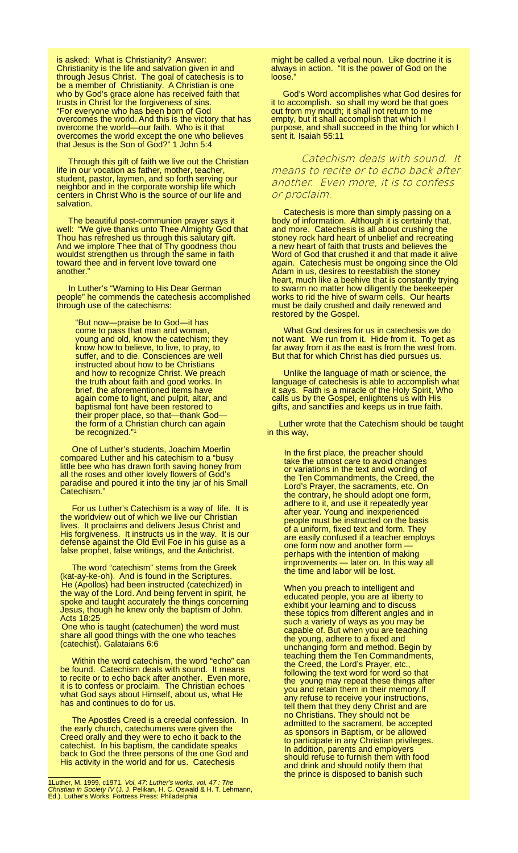is asked: What is Christianity? Answer: Christianity is the life and salvation given in and through Jesus Christ. The goal of catechesis is to be a member of Christianity. A Christian is one who by God's grace alone has received faith that trusts in Christ for the forgiveness of sins. "For everyone who has been born of God overcomes the world. And this is the victory that has overcome the world—our faith. Who is it that overcomes the world except the one who believes that Jesus is the Son of God?" 1 John 5:4

 Through this gift of faith we live out the Christian life in our vocation as father, mother, teacher, student, pastor, laymen, and so forth serving our neighbor and in the corporate worship life which centers in Christ Who is the source of our life and salvation.

 The beautiful post-communion prayer says it well: "We give thanks unto Thee Almighty God that Thou has refreshed us through this salutary gift. And we implore Thee that of Thy goodness thou wouldst strengthen us through the same in faith toward thee and in fervent love toward one another."

 In Luther's "Warning to His Dear German people" he commends the catechesis accomplished through use of the catechisms:

"But now—praise be to God—it has come to pass that man and woman, young and old, know the catechism; they know how to believe, to live, to pray, to suffer, and to die. Consciences are well instructed about how to be Christians and how to recognize Christ. We preach the truth about faith and good works. In brief, the aforementioned items have again come to light, and pulpit, altar, and baptismal font have been restored to their proper place, so that—thank God the form of a Christian church can again be recognized."<sup>[1](#page-10-0)</sup>

 One of Luther's students, Joachim Moerlin compared Luther and his catechism to a "busy little bee who has drawn forth saving honey from all the roses and other lovely flowers of God's paradise and poured it into the tiny jar of his Small Catechism."

 For us Luther's Catechism is a way of life. It is the worldview out of which we live our Christian lives. It proclaims and delivers Jesus Christ and His forgiveness. It instructs us in the way. It is our defense against the Old Evil Foe in his guise as a false prophet, false writings, and the Antichrist.

 The word "catechism" stems from the Greek (kat-ay-ke-oh). And is found in the Scriptures. He (Apollos) had been instructed (catechized) in the way of the Lord. And being fervent in spirit, he spoke and taught accurately the things concerning Jesus, though he knew only the baptism of John. Acts 18:25

One who is taught (catechumen) the word must share all good things with the one who teaches (catechist). Galataians 6:6

 Within the word catechism, the word "echo" can be found. Catechism deals with sound. It means to recite or to echo back after another. Even more, it is to confess or proclaim. The Christian echoes what God says about Himself, about us, what He has and continues to do for us.

 The Apostles Creed is a creedal confession. In the early church, catechumens were given the Creed orally and they were to echo it back to the catechist. In his baptism, the candidate speaks back to God the three persons of the one God and His activity in the world and for us. Catechesis

might be called a verbal noun. Like doctrine it is always in action. "It is the power of God on the loose.

 God's Word accomplishes what God desires for it to accomplish. so shall my word be that goes out from my mouth; it shall not return to me empty, but it shall accomplish that which I purpose, and shall succeed in the thing for which I sent it. Isaiah 55:11

# Catechism deals with sound. It means to recite or to echo back after another. Even more, it is to confess or proclaim.

 Catechesis is more than simply passing on a body of information. Although it is certainly that, and more. Catechesis is all about crushing the stoney rock hard heart of unbelief and recreating a new heart of faith that trusts and believes the Word of God that crushed it and that made it alive again. Catechesis must be ongoing since the Old Adam in us, desires to reestablish the stoney heart, much like a beehive that is constantly trying to swarm no matter how diligently the beekeeper works to rid the hive of swarm cells. Our hearts must be daily crushed and daily renewed and restored by the Gospel.

 What God desires for us in catechesis we do not want. We run from it. Hide from it. To get as far away from it as the east is from the west from. But that for which Christ has died pursues us.

 Unlike the language of math or science, the language of catechesis is able to accomplish what it says. Faith is a miracle of the Holy Spirit, Who calls us by the Gospel, enlightens us with His gifts, and sanctifies and keeps us in true faith.

 Luther wrote that the Catechism should be taught in this way,

In the first place, the preacher should take the utmost care to avoid changes or variations in the text and wording of the Ten Commandments, the Creed, the Lord's Prayer, the sacraments, etc. On the contrary, he should adopt one form, adhere to it, and use it repeatedly year after year. Young and inexperienced people must be instructed on the basis of a uniform, fixed text and form. They are easily confused if a teacher employs one form now and another form perhaps with the intention of making improvements — later on. In this way all the time and labor will be lost.

When you preach to intelligent and educated people, you are at liberty to exhibit your learning and to discuss these topics from different angles and in such a variety of ways as you may be capable of. But when you are teaching the young, adhere to a fixed and unchanging form and method. Begin by teaching them the Ten Commandments, the Creed, the Lord's Prayer, etc., following the text word for word so that the young may repeat these things after you and retain them in their memory.If any refuse to receive your instructions, tell them that they deny Christ and are no Christians. They should not be admitted to the sacrament, be accepted as sponsors in Baptism, or be allowed to participate in any Christian privileges. In addition, parents and employers should refuse to furnish them with food and drink and should notify them that the prince is disposed to banish such

<span id="page-10-0"></span><sup>1</sup>Luther, M. 1999, c1971. Vol. 47: Luther's works, vol. 47 : The Christian in Society IV (J. J. Pelikan, H. C. Oswald & H. T. Lehmann, Ed.). Luther's Works. Fortress Press: Philadelphia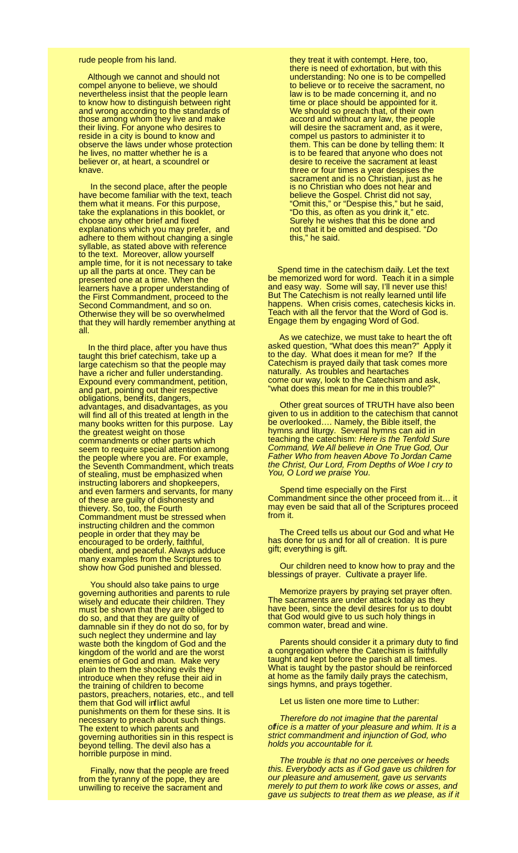#### rude people from his land.

 Although we cannot and should not compel anyone to believe, we should nevertheless insist that the people learn to know how to distinguish between right and wrong according to the standards of those among whom they live and make their living. For anyone who desires to reside in a city is bound to know and observe the laws under whose protection he lives, no matter whether he is a believer or, at heart, a scoundrel or knave.

 In the second place, after the people have become familiar with the text, teach them what it means. For this purpose, take the explanations in this booklet, or choose any other brief and fixed explanations which you may prefer, and adhere to them without changing a single syllable, as stated above with reference to the text. Moreover, allow yourself ample time, for it is not necessary to take up all the parts at once. They can be presented one at a time. When the learners have a proper understanding of the First Commandment, proceed to the Second Commandment, and so on. Otherwise they will be so overwhelmed that they will hardly remember anything at all.

 In the third place, after you have thus taught this brief catechism, take up a large catechism so that the people may have a richer and fuller understanding. Expound every commandment, petition, and part, pointing out their respective obligations, benetits, dangers, advantages, and disadvantages, as you will find all of this treated at length in the many books written for this purpose. Lay the greatest weight on those commandments or other parts which seem to require special attention among the people where you are. For example, the Seventh Commandment, which treats of stealing, must be emphasized when instructing laborers and shopkeepers, and even farmers and servants, for many of these are guilty of dishonesty and thievery. So, too, the Fourth Commandment must be stressed when instructing children and the common people in order that they may be encouraged to be orderly, faithful, obedient, and peaceful. Always adduce many examples from the Scriptures to show how God punished and blessed.

 You should also take pains to urge governing authorities and parents to rule wisely and educate their children. They must be shown that they are obliged to do so, and that they are guilty of damnable sin if they do not do so, for by such neglect they undermine and lay waste both the kingdom of God and the kingdom of the world and are the worst enemies of God and man. Make very plain to them the shocking evils they introduce when they refuse their aid in the training of children to become pastors, preachers, notaries, etc., and tell them that God will inflict awful punishments on them for these sins. It is necessary to preach about such things. The extent to which parents and governing authorities sin in this respect is beyond telling. The devil also has a horrible purpose in mind.

 Finally, now that the people are freed from the tyranny of the pope, they are unwilling to receive the sacrament and

they treat it with contempt. Here, too, there is need of exhortation, but with this understanding: No one is to be compelled to believe or to receive the sacrament, no law is to be made concerning it, and no time or place should be appointed for it. We should so preach that, of their own accord and without any law, the people will desire the sacrament and, as it were, compel us pastors to administer it to them. This can be done by telling them: It is to be feared that anyone who does not desire to receive the sacrament at least three or four times a year despises the sacrament and is no Christian, just as he is no Christian who does not hear and believe the Gospel. Christ did not say, "Omit this," or "Despise this," but he said, "Do this, as often as you drink it," etc. Surely he wishes that this be done and not that it be omitted and despised. "Do this," he said.

Spend time in the catechism daily. Let the text be memorized word for word. Teach it in a simple and easy way. Some will say, I'll never use this! But The Catechism is not really learned until life happens. When crisis comes, catechesis kicks in. Teach with all the fervor that the Word of God is. Engage them by engaging Word of God.

 As we catechize, we must take to heart the oft asked question, "What does this mean?" Apply it to the day. What does it mean for me? If the Catechism is prayed daily that task comes more naturally. As troubles and heartaches come our way, look to the Catechism and ask, "what does this mean for me in this trouble?"

 Other great sources of TRUTH have also been given to us in addition to the catechism that cannot be overlooked…. Namely, the Bible itself, the hymns and liturgy. Several hymns can aid in teaching the catechism: Here is the Tenfold Sure Command, We All believe in One True God, Our Father Who from heaven Above To Jordan Came the Christ, Our Lord, From Depths of Woe I cry to You, O Lord we praise You.

**Spend time especially on the First** Commandment since the other proceed from it… it may even be said that all of the Scriptures proceed from it.

 The Creed tells us about our God and what He has done for us and for all of creation. It is pure gift; everything is gift.

 Our children need to know how to pray and the blessings of prayer. Cultivate a prayer life.

 Memorize prayers by praying set prayer often. The sacraments are under attack today as they have been, since the devil desires for us to doubt that God would give to us such holy things in common water, bread and wine.

 Parents should consider it a primary duty to find a congregation where the Catechism is faithfully taught and kept before the parish at all times. What is taught by the pastor should be reinforced at home as the family daily prays the catechism, sings hymns, and prays together.

Let us listen one more time to Luther:

 Therefore do not imagine that the parental office is a matter of your pleasure and whim. It is a strict commandment and injunction of God, who holds you accountable for it.

The trouble is that no one perceives or heeds this. Everybody acts as if God gave us children for our pleasure and amusement, gave us servants merely to put them to work like cows or asses, and gave us subjects to treat them as we please, as if it